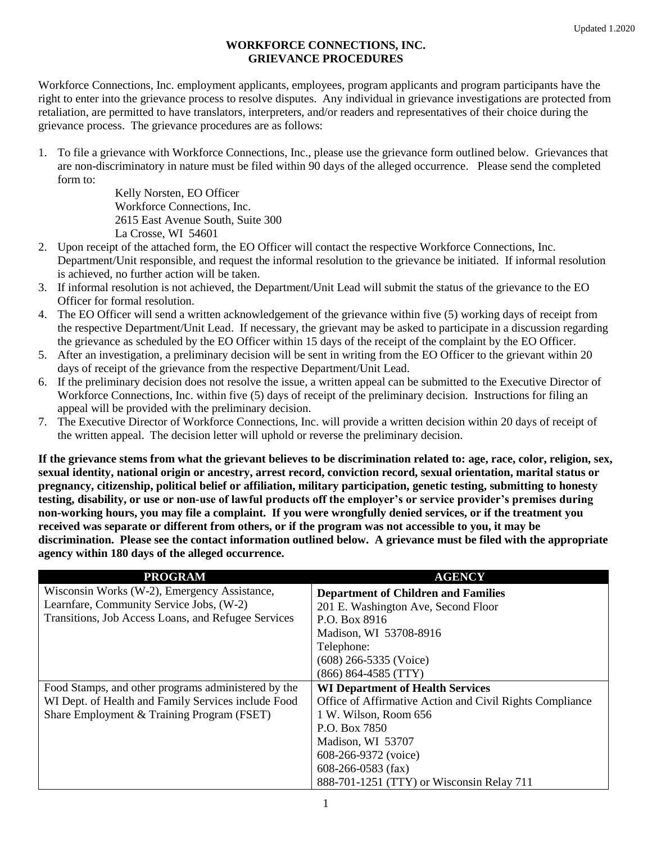## **WORKFORCE CONNECTIONS, INC. GRIEVANCE PROCEDURES**

Workforce Connections, Inc. employment applicants, employees, program applicants and program participants have the right to enter into the grievance process to resolve disputes. Any individual in grievance investigations are protected from retaliation, are permitted to have translators, interpreters, and/or readers and representatives of their choice during the grievance process. The grievance procedures are as follows:

1. To file a grievance with Workforce Connections, Inc., please use the grievance form outlined below. Grievances that are non-discriminatory in nature must be filed within 90 days of the alleged occurrence. Please send the completed form to:

> Kelly Norsten, EO Officer Workforce Connections, Inc. 2615 East Avenue South, Suite 300 La Crosse, WI 54601

- 2. Upon receipt of the attached form, the EO Officer will contact the respective Workforce Connections, Inc. Department/Unit responsible, and request the informal resolution to the grievance be initiated. If informal resolution is achieved, no further action will be taken.
- 3. If informal resolution is not achieved, the Department/Unit Lead will submit the status of the grievance to the EO Officer for formal resolution.
- 4. The EO Officer will send a written acknowledgement of the grievance within five (5) working days of receipt from the respective Department/Unit Lead. If necessary, the grievant may be asked to participate in a discussion regarding the grievance as scheduled by the EO Officer within 15 days of the receipt of the complaint by the EO Officer.
- 5. After an investigation, a preliminary decision will be sent in writing from the EO Officer to the grievant within 20 days of receipt of the grievance from the respective Department/Unit Lead.
- 6. If the preliminary decision does not resolve the issue, a written appeal can be submitted to the Executive Director of Workforce Connections, Inc. within five (5) days of receipt of the preliminary decision. Instructions for filing an appeal will be provided with the preliminary decision.
- 7. The Executive Director of Workforce Connections, Inc. will provide a written decision within 20 days of receipt of the written appeal. The decision letter will uphold or reverse the preliminary decision.

**If the grievance stems from what the grievant believes to be discrimination related to: age, race, color, religion, sex, sexual identity, national origin or ancestry, arrest record, conviction record, sexual orientation, marital status or pregnancy, citizenship, political belief or affiliation, military participation, genetic testing, submitting to honesty testing, disability, or use or non-use of lawful products off the employer's or service provider's premises during non-working hours, you may file a complaint. If you were wrongfully denied services, or if the treatment you received was separate or different from others, or if the program was not accessible to you, it may be discrimination. Please see the contact information outlined below. A grievance must be filed with the appropriate agency within 180 days of the alleged occurrence.** 

| <b>PROGRAM</b>                                      | <b>AGENCY</b>                                            |
|-----------------------------------------------------|----------------------------------------------------------|
| Wisconsin Works (W-2), Emergency Assistance,        | <b>Department of Children and Families</b>               |
| Learnfare, Community Service Jobs, (W-2)            | 201 E. Washington Ave, Second Floor                      |
| Transitions, Job Access Loans, and Refugee Services | P.O. Box 8916                                            |
|                                                     | Madison, WI 53708-8916                                   |
|                                                     | Telephone:                                               |
|                                                     | $(608)$ 266-5335 (Voice)                                 |
|                                                     | $(866) 864-4585 (TTY)$                                   |
| Food Stamps, and other programs administered by the | <b>WI Department of Health Services</b>                  |
| WI Dept. of Health and Family Services include Food | Office of Affirmative Action and Civil Rights Compliance |
| Share Employment & Training Program (FSET)          | 1 W. Wilson, Room 656                                    |
|                                                     | P.O. Box 7850                                            |
|                                                     | Madison, WI 53707                                        |
|                                                     | $608-266-9372$ (voice)                                   |
|                                                     | $608-266-0583$ (fax)                                     |
|                                                     | 888-701-1251 (TTY) or Wisconsin Relay 711                |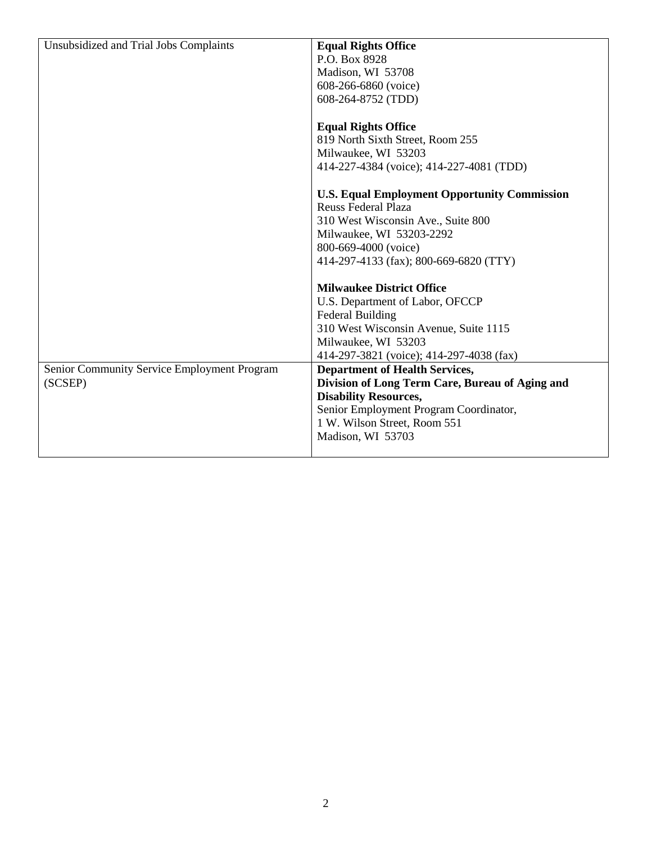| Unsubsidized and Trial Jobs Complaints      | <b>Equal Rights Office</b>                          |
|---------------------------------------------|-----------------------------------------------------|
|                                             | P.O. Box 8928                                       |
|                                             | Madison, WI 53708                                   |
|                                             | 608-266-6860 (voice)                                |
|                                             | 608-264-8752 (TDD)                                  |
|                                             |                                                     |
|                                             | <b>Equal Rights Office</b>                          |
|                                             | 819 North Sixth Street, Room 255                    |
|                                             | Milwaukee, WI 53203                                 |
|                                             | 414-227-4384 (voice); 414-227-4081 (TDD)            |
|                                             |                                                     |
|                                             | <b>U.S. Equal Employment Opportunity Commission</b> |
|                                             | <b>Reuss Federal Plaza</b>                          |
|                                             | 310 West Wisconsin Ave., Suite 800                  |
|                                             | Milwaukee, WI 53203-2292                            |
|                                             | 800-669-4000 (voice)                                |
|                                             | 414-297-4133 (fax); 800-669-6820 (TTY)              |
|                                             |                                                     |
|                                             | <b>Milwaukee District Office</b>                    |
|                                             | U.S. Department of Labor, OFCCP                     |
|                                             | <b>Federal Building</b>                             |
|                                             | 310 West Wisconsin Avenue, Suite 1115               |
|                                             | Milwaukee, WI 53203                                 |
|                                             | 414-297-3821 (voice); 414-297-4038 (fax)            |
| Senior Community Service Employment Program | <b>Department of Health Services,</b>               |
| (SCSEP)                                     | Division of Long Term Care, Bureau of Aging and     |
|                                             | <b>Disability Resources,</b>                        |
|                                             | Senior Employment Program Coordinator,              |
|                                             | 1 W. Wilson Street, Room 551                        |
|                                             | Madison, WI 53703                                   |
|                                             |                                                     |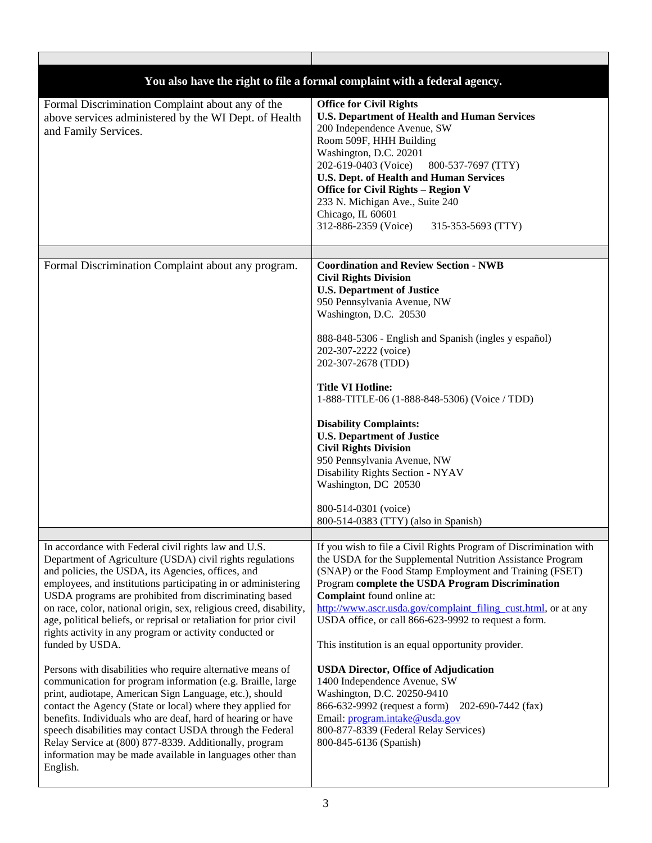|                                                                                                                                                                                                                                                                                                                                                                                                                                                                                                                              | You also have the right to file a formal complaint with a federal agency.                                                                                                                                                                                                                                                                                                                                                                                                                                                                                                                                                       |
|------------------------------------------------------------------------------------------------------------------------------------------------------------------------------------------------------------------------------------------------------------------------------------------------------------------------------------------------------------------------------------------------------------------------------------------------------------------------------------------------------------------------------|---------------------------------------------------------------------------------------------------------------------------------------------------------------------------------------------------------------------------------------------------------------------------------------------------------------------------------------------------------------------------------------------------------------------------------------------------------------------------------------------------------------------------------------------------------------------------------------------------------------------------------|
| Formal Discrimination Complaint about any of the<br>above services administered by the WI Dept. of Health<br>and Family Services.                                                                                                                                                                                                                                                                                                                                                                                            | <b>Office for Civil Rights</b><br><b>U.S. Department of Health and Human Services</b><br>200 Independence Avenue, SW<br>Room 509F, HHH Building<br>Washington, D.C. 20201<br>202-619-0403 (Voice)<br>800-537-7697 (TTY)<br><b>U.S. Dept. of Health and Human Services</b><br><b>Office for Civil Rights - Region V</b><br>233 N. Michigan Ave., Suite 240<br>Chicago, IL 60601<br>312-886-2359 (Voice)<br>315-353-5693 (TTY)                                                                                                                                                                                                    |
|                                                                                                                                                                                                                                                                                                                                                                                                                                                                                                                              |                                                                                                                                                                                                                                                                                                                                                                                                                                                                                                                                                                                                                                 |
| Formal Discrimination Complaint about any program.                                                                                                                                                                                                                                                                                                                                                                                                                                                                           | <b>Coordination and Review Section - NWB</b><br><b>Civil Rights Division</b><br><b>U.S. Department of Justice</b><br>950 Pennsylvania Avenue, NW<br>Washington, D.C. 20530<br>888-848-5306 - English and Spanish (ingles y español)<br>202-307-2222 (voice)<br>202-307-2678 (TDD)<br><b>Title VI Hotline:</b><br>1-888-TITLE-06 (1-888-848-5306) (Voice / TDD)<br><b>Disability Complaints:</b><br><b>U.S. Department of Justice</b><br><b>Civil Rights Division</b><br>950 Pennsylvania Avenue, NW<br>Disability Rights Section - NYAV<br>Washington, DC 20530<br>800-514-0301 (voice)<br>800-514-0383 (TTY) (also in Spanish) |
|                                                                                                                                                                                                                                                                                                                                                                                                                                                                                                                              |                                                                                                                                                                                                                                                                                                                                                                                                                                                                                                                                                                                                                                 |
| In accordance with Federal civil rights law and U.S.<br>Department of Agriculture (USDA) civil rights regulations<br>and policies, the USDA, its Agencies, offices, and<br>employees, and institutions participating in or administering<br>USDA programs are prohibited from discriminating based<br>on race, color, national origin, sex, religious creed, disability,<br>age, political beliefs, or reprisal or retaliation for prior civil<br>rights activity in any program or activity conducted or<br>funded by USDA. | If you wish to file a Civil Rights Program of Discrimination with<br>the USDA for the Supplemental Nutrition Assistance Program<br>(SNAP) or the Food Stamp Employment and Training (FSET)<br>Program complete the USDA Program Discrimination<br>Complaint found online at:<br>http://www.ascr.usda.gov/complaint_filing_cust.html, or at any<br>USDA office, or call 866-623-9992 to request a form.<br>This institution is an equal opportunity provider.                                                                                                                                                                    |
| Persons with disabilities who require alternative means of<br>communication for program information (e.g. Braille, large<br>print, audiotape, American Sign Language, etc.), should<br>contact the Agency (State or local) where they applied for<br>benefits. Individuals who are deaf, hard of hearing or have<br>speech disabilities may contact USDA through the Federal<br>Relay Service at (800) 877-8339. Additionally, program<br>information may be made available in languages other than<br>English.              | <b>USDA Director, Office of Adjudication</b><br>1400 Independence Avenue, SW<br>Washington, D.C. 20250-9410<br>866-632-9992 (request a form)<br>202-690-7442 (fax)<br>Email: program.intake@usda.gov<br>800-877-8339 (Federal Relay Services)<br>800-845-6136 (Spanish)                                                                                                                                                                                                                                                                                                                                                         |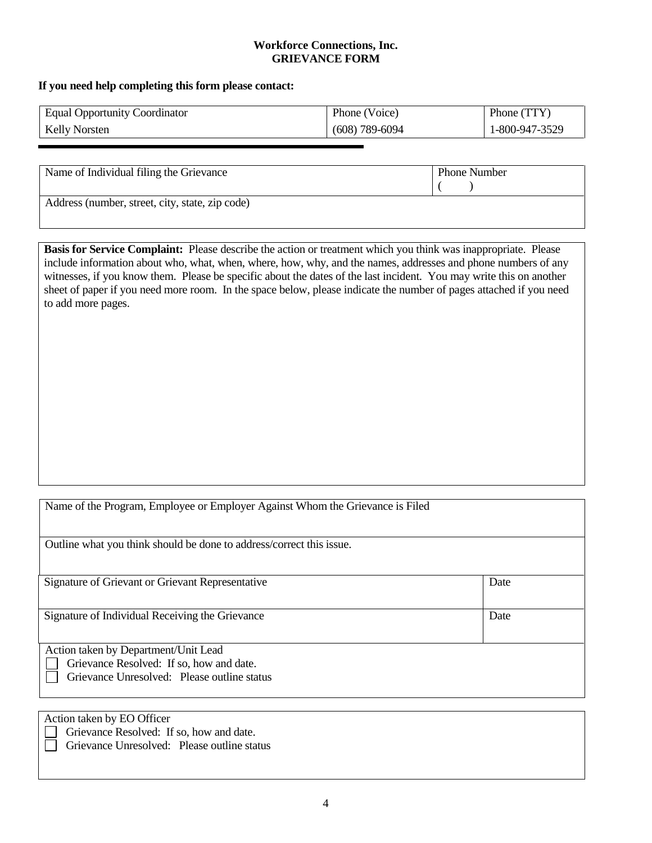## **Workforce Connections, Inc. GRIEVANCE FORM**

## **If you need help completing this form please contact:**

| <b>Equal Opportunity Coordinator</b> | Phone (Voice)      | Phone (TTY)    |
|--------------------------------------|--------------------|----------------|
| <b>Kelly Norsten</b>                 | $(608) 789 - 6094$ | 1-800-947-3529 |

| Name of Individual filing the Grievance         | <b>Phone Number</b> |
|-------------------------------------------------|---------------------|
| Address (number, street, city, state, zip code) |                     |

**Basis for Service Complaint:** Please describe the action or treatment which you think was inappropriate. Please include information about who, what, when, where, how, why, and the names, addresses and phone numbers of any witnesses, if you know them. Please be specific about the dates of the last incident. You may write this on another sheet of paper if you need more room. In the space below, please indicate the number of pages attached if you need to add more pages.

| Name of the Program, Employee or Employer Against Whom the Grievance is Filed                                                   |      |  |
|---------------------------------------------------------------------------------------------------------------------------------|------|--|
| Outline what you think should be done to address/correct this issue.                                                            |      |  |
| Signature of Grievant or Grievant Representative                                                                                | Date |  |
| Signature of Individual Receiving the Grievance                                                                                 | Date |  |
| Action taken by Department/Unit Lead<br>Grievance Resolved: If so, how and date.<br>Grievance Unresolved: Please outline status |      |  |

Action taken by EO Officer

Grievance Resolved: If so, how and date.

Grievance Unresolved: Please outline status